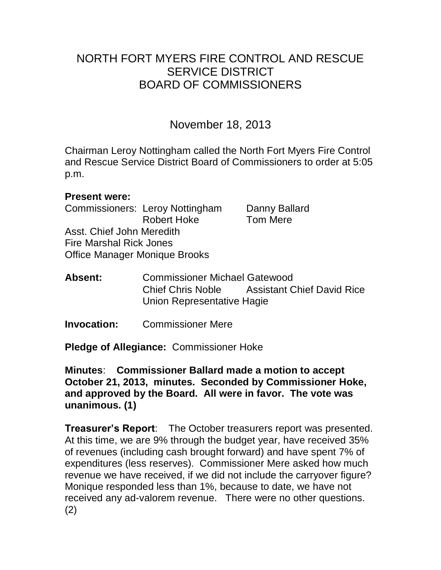# NORTH FORT MYERS FIRE CONTROL AND RESCUE SERVICE DISTRICT BOARD OF COMMISSIONERS

# November 18, 2013

Chairman Leroy Nottingham called the North Fort Myers Fire Control and Rescue Service District Board of Commissioners to order at 5:05 p.m.

### **Present were:**

Commissioners: Leroy Nottingham Danny Ballard Robert Hoke Tom Mere Asst. Chief John Meredith Fire Marshal Rick Jones Office Manager Monique Brooks

**Absent:** Commissioner Michael Gatewood Chief Chris Noble Assistant Chief David Rice Union Representative Hagie

**Invocation:** Commissioner Mere

**Pledge of Allegiance:** Commissioner Hoke

**Minutes**: **Commissioner Ballard made a motion to accept October 21, 2013, minutes. Seconded by Commissioner Hoke, and approved by the Board. All were in favor. The vote was unanimous. (1)** 

**Treasurer's Report**: The October treasurers report was presented. At this time, we are 9% through the budget year, have received 35% of revenues (including cash brought forward) and have spent 7% of expenditures (less reserves). Commissioner Mere asked how much revenue we have received, if we did not include the carryover figure? Monique responded less than 1%, because to date, we have not received any ad-valorem revenue. There were no other questions. (2)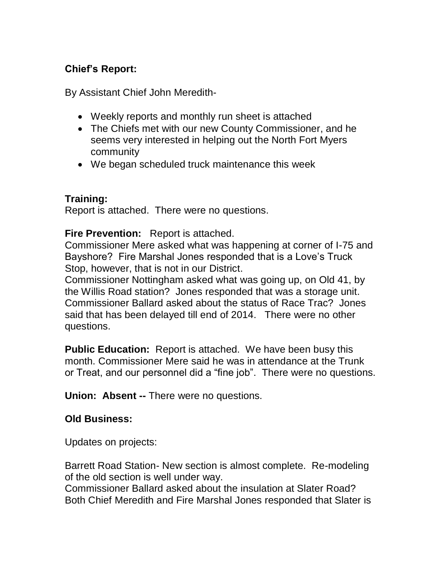## **Chief's Report:**

By Assistant Chief John Meredith-

- Weekly reports and monthly run sheet is attached
- The Chiefs met with our new County Commissioner, and he seems very interested in helping out the North Fort Myers community
- We began scheduled truck maintenance this week

## **Training:**

Report is attached. There were no questions.

**Fire Prevention:** Report is attached.

Commissioner Mere asked what was happening at corner of I-75 and Bayshore? Fire Marshal Jones responded that is a Love's Truck Stop, however, that is not in our District.

Commissioner Nottingham asked what was going up, on Old 41, by the Willis Road station? Jones responded that was a storage unit. Commissioner Ballard asked about the status of Race Trac? Jones said that has been delayed till end of 2014. There were no other questions.

**Public Education:** Report is attached. We have been busy this month. Commissioner Mere said he was in attendance at the Trunk or Treat, and our personnel did a "fine job". There were no questions.

**Union: Absent --** There were no questions.

### **Old Business:**

Updates on projects:

Barrett Road Station- New section is almost complete. Re-modeling of the old section is well under way.

Commissioner Ballard asked about the insulation at Slater Road? Both Chief Meredith and Fire Marshal Jones responded that Slater is